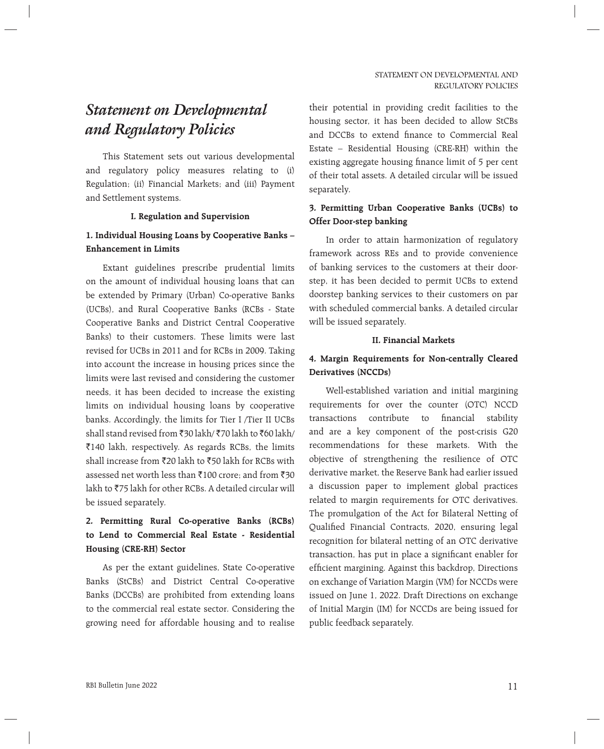# *Statement on Developmental and Regulatory Policies*

 This Statement sets out various developmental and regulatory policy measures relating to (i) Regulation; (ii) Financial Markets; and (iii) Payment and Settlement systems.

#### **I. Regulation and Supervision**

#### **1. Individual Housing Loans by Cooperative Banks – Enhancement in Limits**

 Extant guidelines prescribe prudential limits on the amount of individual housing loans that can be extended by Primary (Urban) Co-operative Banks (UCBs), and Rural Cooperative Banks (RCBs - State Cooperative Banks and District Central Cooperative Banks) to their customers. These limits were last revised for UCBs in 2011 and for RCBs in 2009. Taking into account the increase in housing prices since the limits were last revised and considering the customer needs, it has been decided to increase the existing limits on individual housing loans by cooperative banks. Accordingly, the limits for Tier I /Tier II UCBs shall stand revised from  $\bar{z}$ 30 lakh/ $\bar{z}$ 70 lakh to  $\bar{z}$ 60 lakh/ `140 lakh, respectively. As regards RCBs, the limits shall increase from  $\bar{\tau}$ 20 lakh to  $\bar{\tau}$ 50 lakh for RCBs with assessed net worth less than  $\bar{x}$ 100 crore; and from  $\bar{x}$ 30 lakh to  $\overline{575}$  lakh for other RCBs. A detailed circular will be issued separately.

## **2. Permitting Rural Co-operative Banks (RCBs) to Lend to Commercial Real Estate - Residential Housing (CRE-RH) Sector**

 As per the extant guidelines, State Co-operative Banks (StCBs) and District Central Co-operative Banks (DCCBs) are prohibited from extending loans to the commercial real estate sector. Considering the growing need for affordable housing and to realise their potential in providing credit facilities to the housing sector, it has been decided to allow StCBs and DCCBs to extend finance to Commercial Real Estate – Residential Housing (CRE-RH) within the existing aggregate housing finance limit of 5 per cent of their total assets. A detailed circular will be issued separately.

## **3. Permitting Urban Cooperative Banks (UCBs) to Offer Door-step banking**

 In order to attain harmonization of regulatory framework across REs and to provide convenience of banking services to the customers at their doorstep, it has been decided to permit UCBs to extend doorstep banking services to their customers on par with scheduled commercial banks. A detailed circular will be issued separately.

#### **II. Financial Markets**

## **4. Margin Requirements for Non-centrally Cleared Derivatives (NCCDs)**

 Well-established variation and initial margining requirements for over the counter (OTC) NCCD transactions contribute to financial stability and are a key component of the post-crisis G20 recommendations for these markets. With the objective of strengthening the resilience of OTC derivative market, the Reserve Bank had earlier issued a discussion paper to implement global practices related to margin requirements for OTC derivatives. The promulgation of the Act for Bilateral Netting of Qualified Financial Contracts, 2020, ensuring legal recognition for bilateral netting of an OTC derivative transaction, has put in place a significant enabler for efficient margining. Against this backdrop, Directions on exchange of Variation Margin (VM) for NCCDs were issued on June 1, 2022. Draft Directions on exchange of Initial Margin (IM) for NCCDs are being issued for public feedback separately.